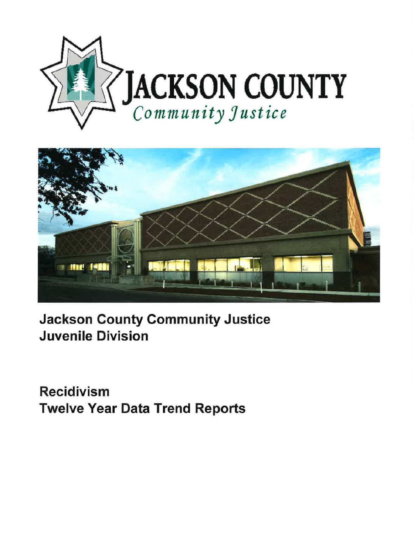



**Jackson County Community Justice Juvenile Division** 

**Recidivism Twelve Year Data Trend Reports**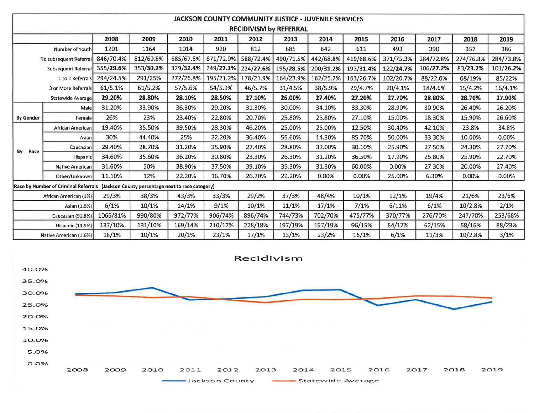| JACKSON COUNTY COMMUNITY JUSTICE - JUVENILE SERVICES                                   |                          |           |           |           |           |           |           |           |           |           |           |           |           |
|----------------------------------------------------------------------------------------|--------------------------|-----------|-----------|-----------|-----------|-----------|-----------|-----------|-----------|-----------|-----------|-----------|-----------|
| <b>RECIDIVISM by REFERRAL</b>                                                          |                          |           |           |           |           |           |           |           |           |           |           |           |           |
|                                                                                        |                          | 2008      | 2009      | 2010      | 2011      | 2012      | 2013      | 2014      | 2015      | 2016      | 2017      | 2018      | 2019      |
| Number of Youth                                                                        |                          | 1201      | 1164      | 1014      | 920       | 812       | 685       | 642       | 611       | 493       | 390       | 357       | 386       |
| No subsequent Referral                                                                 |                          | 846/70.4% | 812/69.8% | 685/67.6% | 671/72.9% | 588/72.4% | 490/71.5% | 442/68.8% | 419/68.6% | 371/75.3% | 284/72.8% | 274/76.8% | 284/73.8% |
| Subsequent Referral                                                                    |                          | 355/29.6% | 353/30.2% | 329/32.4% | 249/27.1% | 224/27.6% | 195/28.5% | 200/31.2% | 192/31.4% | 122/24.7% | 106/27.2% | 83/23.2%  | 101/26.2% |
| 1 to 2 Referrals                                                                       |                          | 294/24.5% | 291/25%   | 272/26.8% | 195/21.2% | 178/21.9% | 164/23.9% | 162/25.2% | 163/26.7% | 102/20.7% | 88/22.6%  | 68/19%    | 85/22%    |
| 3 or More Referrals                                                                    |                          | 61/5.1%   | 61/5.2%   | 57/5.6%   | 54/5.9%   | 46/5.7%   | 31/4.5%   | 38/5.9%   | 29/4.7%   | 20/4.1%   | 18/4.6%   | 15/4.2%   | 16/4.1%   |
|                                                                                        | <b>Statewide Average</b> | 29.20%    | 28.80%    | 28.10%    | 28.50%    | 27.10%    | 26.00%    | 27.40%    | 27.20%    | 27.70%    | 28.80%    | 28.70%    | 27.90%    |
|                                                                                        | Male                     | 31.20%    | 33.90%    | 36.30%    | 29.20%    | 31.30%    | 30.00%    | 34.10%    | 33.30%    | 28.90%    | 30.90%    | 26.40%    | 26.20%    |
| <b>By Gender</b>                                                                       | Female                   | 26%       | 23%       | 23.40%    | 22.80%    | 20.70%    | 25.80%    | 25.80%    | 27.10%    | 15.00%    | 18.30%    | 15.90%    | 26.60%    |
| Race<br>By                                                                             | African American         | 19.40%    | 35.50%    | 39.50%    | 28.30%    | 46.20%    | 25.00%    | 25.00%    | 12.50%    | 30.40%    | 42.10%    | 23.8%     | 34.8%     |
|                                                                                        | Asian                    | 30%       | 44.40%    | 25%       | 22.20%    | 36.40%    | 55.60%    | 14.30%    | 85.70%    | 50.00%    | 33.30%    | 10.00%    | 0.00%     |
|                                                                                        | Caucasian                | 29.40%    | 28.70%    | 31.20%    | 25.90%    | 27.40%    | 28.80%    | 32.00%    | 30.10%    | 25.90%    | 27.50%    | 24.30%    | 27.70%    |
|                                                                                        | Hispanic                 | 34.60%    | 35.60%    | 36.20%    | 30.80%    | 23.30%    | 26.30%    | 31.20%    | 36.50%    | 17.90%    | 25.80%    | 25.90%    | 22.70%    |
|                                                                                        | <b>Native American</b>   | 31.60%    | 50%       | 38.90%    | 37.50%    | 39.10%    | 35.30%    | 31.30%    | 60.00%    | 0.00%     | 27.30%    | 20.00%    | 27.40%    |
|                                                                                        | Other/Unknown            | 11.10%    | 12%       | 22.20%    | 16.70%    | 26.70%    | 22.20%    | 0.00%     | 0.00%     | 25.00%    | 6.30%     | 0.00%     | 0.00%     |
| Race by Number of Criminal Referrals (Jackson County percentage next to race category) |                          |           |           |           |           |           |           |           |           |           |           |           |           |
| African American (1%)                                                                  |                          | 29/3%     | 38/3%     | 43/3%     | 33/3%     | 29/2%     | 37/3%     | 48/4%     | 10/1%     | 12/1%     | 19/4%     | 21/6%     | 23/6%     |
| Asian (1.6%)                                                                           |                          | 6/1%      | 10/1%     | 14/1%     | 9/1%      | 10/1%     | 11/1%     | 17/1%     | 7/1%      | 6/11%     | 6/1%      | 10/2.8%   | 2/1%      |
| Caucasian (91.8%)                                                                      |                          | 1066/81%  | 990/80%   | 972/77%   | 906/74%   | 896/74%   | 744/73%   | 702/70%   | 475/77%   | 370/77%   | 276/70%   | 247/70%   | 253/68%   |
| <b>Hispanic (13.5%)</b>                                                                |                          | 137/10%   | 131/10%   | 169/14%   | 210/17%   | 228/18%   | 197/19%   | 197/19%   | 96/15%    | 84/17%    | 62/15%    | 58/16%    | 88/23%    |
| Native American (1.6%)                                                                 |                          | 18/1%     | 10/1%     | 20/1%     | 23/1%     | 17/1%     | 13/1%     | 23/2%     | 16/1%     | 6/1%      | 11/3%     | 10/2.8%   | 3/1%      |